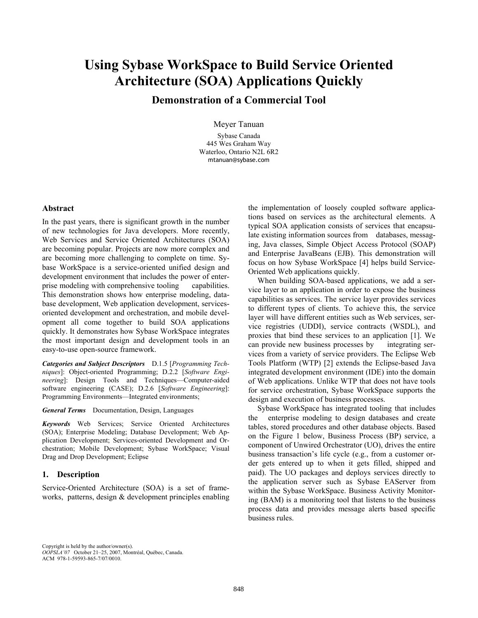# **Using Sybase WorkSpace to Build Service Oriented Architecture (SOA) Applications Quickly**

# **Demonstration of a Commercial Tool**

Meyer Tanuan

Sybase Canada 445 Wes Graham Way Waterloo, Ontario N2L 6R2 mtanuan@sybase.com

### **Abstract**

In the past years, there is significant growth in the number of new technologies for Java developers. More recently, Web Services and Service Oriented Architectures (SOA) are becoming popular. Projects are now more complex and are becoming more challenging to complete on time. Sybase WorkSpace is a service-oriented unified design and development environment that includes the power of enterprise modeling with comprehensive tooling capabilities. This demonstration shows how enterprise modeling, database development, Web application development, servicesoriented development and orchestration, and mobile development all come together to build SOA applications quickly. It demonstrates how Sybase WorkSpace integrates the most important design and development tools in an easy-to-use open-source framework.

*Categories and Subject Descriptors* D.1.5 [*Programming Techniques*]: Object-oriented Programming; D.2.2 [*Software Engineering*]: Design Tools and Techniques—Computer-aided software engineering (CASE); D.2.6 [*Software Engineering*]: Programming Environments—Integrated environments;

*General Terms* Documentation, Design, Languages

*Keywords* Web Services; Service Oriented Architectures (SOA); Enterprise Modeling; Database Development; Web Application Development; Services-oriented Development and Orchestration; Mobile Development; Sybase WorkSpace; Visual Drag and Drop Development; Eclipse

### **1. Description**

Service-Oriented Architecture (SOA) is a set of frameworks, patterns, design & development principles enabling

the implementation of loosely coupled software applications based on services as the architectural elements. A typical SOA application consists of services that encapsulate existing information sources from databases, messaging, Java classes, Simple Object Access Protocol (SOAP) and Enterprise JavaBeans (EJB). This demonstration will focus on how Sybase WorkSpace [4] helps build Service-Oriented Web applications quickly.

When building SOA-based applications, we add a service layer to an application in order to expose the business capabilities as services. The service layer provides services to different types of clients. To achieve this, the service layer will have different entities such as Web services, service registries (UDDI), service contracts (WSDL), and proxies that bind these services to an application [1]. We can provide new business processes by integrating services from a variety of service providers. The Eclipse Web Tools Platform (WTP) [2] extends the Eclipse-based Java integrated development environment (IDE) into the domain of Web applications. Unlike WTP that does not have tools for service orchestration, Sybase WorkSpace supports the design and execution of business processes.

Sybase WorkSpace has integrated tooling that includes the enterprise modeling to design databases and create tables, stored procedures and other database objects. Based on the Figure 1 below, Business Process (BP) service, a component of Unwired Orchestrator (UO), drives the entire business transaction's life cycle (e.g., from a customer order gets entered up to when it gets filled, shipped and paid). The UO packages and deploys services directly to the application server such as Sybase EAServer from within the Sybase WorkSpace. Business Activity Monitoring (BAM) is a monitoring tool that listens to the business process data and provides message alerts based specific business rules.

Copyright is held by the author/owner(s). *OOPSLA'07* October 21–25, 2007, Montréal, Québec, Canada. ACM 978-1-59593-865-7/07/0010.